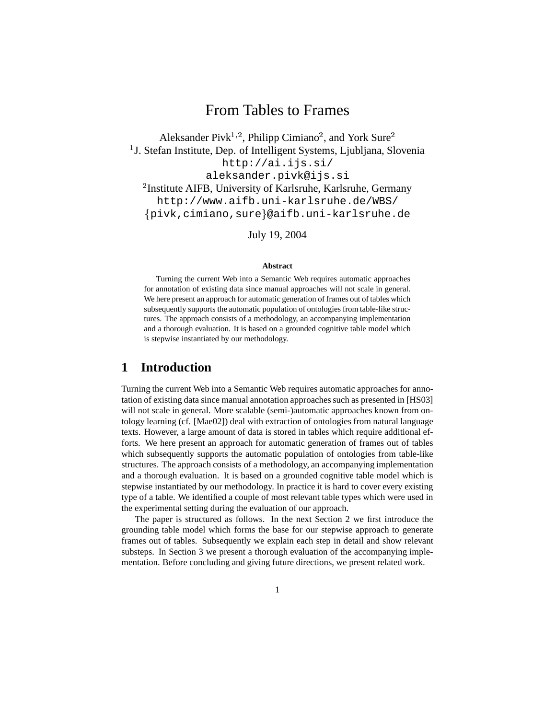# From Tables to Frames

Aleksander Pivk<sup>1,2</sup>, Philipp Cimiano<sup>2</sup>, and York Sure<sup>2</sup> <sup>1</sup>J. Stefan Institute, Dep. of Intelligent Systems, Ljubljana, Slovenia http://ai.ijs.si/ aleksander.pivk@ijs.si <sup>2</sup> Institute AIFB, University of Karlsruhe, Karlsruhe, Germany http://www.aifb.uni-karlsruhe.de/WBS/  $\{\mathrm{pivk}, \mathrm{cimiano}, \mathrm{sure}\}$ @aifb.uni-karlsruhe.de

July 19, 2004

#### **Abstract**

Turning the current Web into a Semantic Web requires automatic approaches for annotation of existing data since manual approaches will not scale in general. We here present an approach for automatic generation of frames out of tables which subsequently supports the automatic population of ontologies from table-like structures. The approach consists of a methodology, an accompanying implementation and a thorough evaluation. It is based on a grounded cognitive table model which is stepwise instantiated by our methodology.

## **1 Introduction**

Turning the current Web into a Semantic Web requires automatic approaches for annotation of existing data since manual annotation approaches such as presented in [HS03] will not scale in general. More scalable (semi-)automatic approaches known from ontology learning (cf. [Mae02]) deal with extraction of ontologies from natural language texts. However, a large amount of data is stored in tables which require additional efforts. We here present an approach for automatic generation of frames out of tables which subsequently supports the automatic population of ontologies from table-like structures. The approach consists of a methodology, an accompanying implementation and a thorough evaluation. It is based on a grounded cognitive table model which is stepwise instantiated by our methodology. In practice it is hard to cover every existing type of a table. We identified a couple of most relevant table types which were used in the experimental setting during the evaluation of our approach.

The paper is structured as follows. In the next Section 2 we first introduce the grounding table model which forms the base for our stepwise approach to generate frames out of tables. Subsequently we explain each step in detail and show relevant substeps. In Section 3 we present a thorough evaluation of the accompanying implementation. Before concluding and giving future directions, we present related work.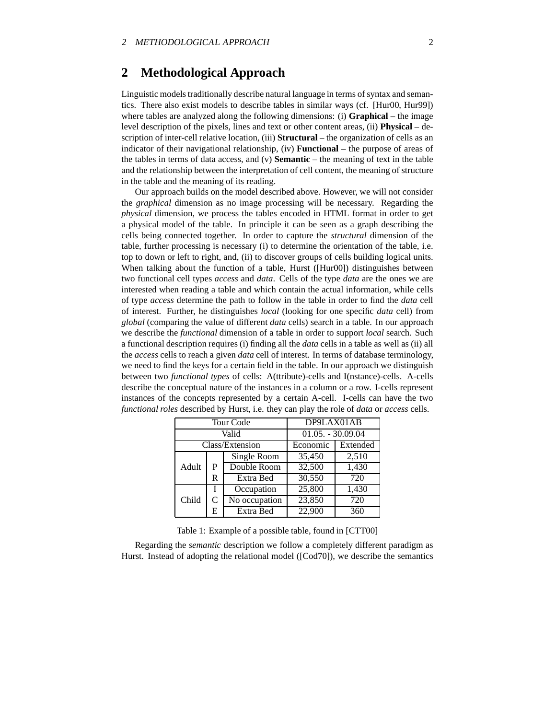## **2 Methodological Approach**

Linguistic models traditionally describe natural language in terms of syntax and semantics. There also exist models to describe tables in similar ways (cf. [Hur00, Hur99]) where tables are analyzed along the following dimensions: (i) **Graphical** – the image level description of the pixels, lines and text or other content areas, (ii) **Physical** – description of inter-cell relative location, (iii) **Structural** – the organization of cells as an indicator of their navigational relationship, (iv) **Functional** – the purpose of areas of the tables in terms of data access, and (v) **Semantic** – the meaning of text in the table and the relationship between the interpretation of cell content, the meaning of structure in the table and the meaning of its reading.

Our approach builds on the model described above. However, we will not consider the *graphical* dimension as no image processing will be necessary. Regarding the *physical* dimension, we process the tables encoded in HTML format in order to get a physical model of the table. In principle it can be seen as a graph describing the cells being connected together. In order to capture the *structural* dimension of the table, further processing is necessary (i) to determine the orientation of the table, i.e. top to down or left to right, and, (ii) to discover groups of cells building logical units. When talking about the function of a table, Hurst ([Hur00]) distinguishes between two functional cell types *access* and *data*. Cells of the type *data* are the ones we are interested when reading a table and which contain the actual information, while cells of type *access* determine the path to follow in the table in order to find the *data* cell of interest. Further, he distinguishes *local* (looking for one specific *data* cell) from *global* (comparing the value of different *data* cells) search in a table. In our approach we describe the *functional* dimension of a table in order to support *local* search. Such a functional description requires (i) finding all the *data* cells in a table as well as (ii) all the *access* cells to reach a given *data* cell of interest. In terms of database terminology, we need to find the keys for a certain field in the table. In our approach we distinguish between two *functional types* of cells: A(ttribute)-cells and I(nstance)-cells. A-cells describe the conceptual nature of the instances in a column or a row. I-cells represent instances of the concepts represented by a certain A-cell. I-cells can have the two *functional roles* described by Hurst, i.e. they can play the role of *data* or *access* cells.

| <b>Tour Code</b> |   |                 | DP9LAX01AB           |       |  |
|------------------|---|-----------------|----------------------|-------|--|
| Valid            |   |                 | $01.05. - 30.09.04$  |       |  |
|                  |   | Class/Extension | Extended<br>Economic |       |  |
|                  |   | Single Room     | 35,450               | 2,510 |  |
| Adult            | P | Double Room     | 32,500               | 1,430 |  |
|                  | R | Extra Bed       | 30,550               | 720   |  |
|                  | T | Occupation      | 25,800               | 1,430 |  |
| Child            | C | No occupation   | 23,850               | 720   |  |
|                  | E | Extra Bed       | 22,900               | 360   |  |

Table 1: Example of a possible table, found in [CTT00]

Regarding the *semantic* description we follow a completely different paradigm as Hurst. Instead of adopting the relational model ([Cod70]), we describe the semantics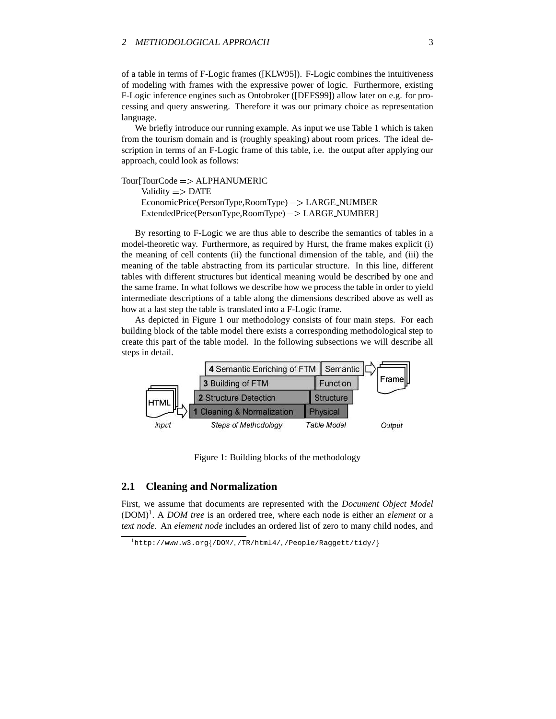of a table in terms of F-Logic frames ([KLW95]). F-Logic combines the intuitiveness of modeling with frames with the expressive power of logic. Furthermore, existing F-Logic inference engines such as Ontobroker ([DEFS99]) allow later on e.g. for processing and query answering. Therefore it was our primary choice as representation language.

We briefly introduce our running example. As input we use Table 1 which is taken from the tourism domain and is (roughly speaking) about room prices. The ideal description in terms of an F-Logic frame of this table, i.e. the output after applying our approach, could look as follows:

Tour[TourCode ALPHANUMERIC Validity DATE EconomicPrice(PersonType,RoomType) LARGE NUMBER ExtendedPrice(PersonType,RoomType) LARGE NUMBER]

By resorting to F-Logic we are thus able to describe the semantics of tables in a model-theoretic way. Furthermore, as required by Hurst, the frame makes explicit (i) the meaning of cell contents (ii) the functional dimension of the table, and (iii) the meaning of the table abstracting from its particular structure. In this line, different tables with different structures but identical meaning would be described by one and the same frame. In what follows we describe how we process the table in order to yield intermediate descriptions of a table along the dimensions described above as well as how at a last step the table is translated into a F-Logic frame.

As depicted in Figure 1 our methodology consists of four main steps. For each building block of the table model there exists a corresponding methodological step to create this part of the table model. In the following subsections we will describe all steps in detail.



Figure 1: Building blocks of the methodology

### **2.1 Cleaning and Normalization**

First, we assume that documents are represented with the *Document Object Model* (DOM)<sup>1</sup> . A *DOM tree* is an ordered tree, where each node is either an *element* or a *text node*. An *element node* includes an ordered list of zero to many child nodes, and

 $1$ http://www.w3.org{/DOM/,/TR/html4/,/People/Raggett/tidy/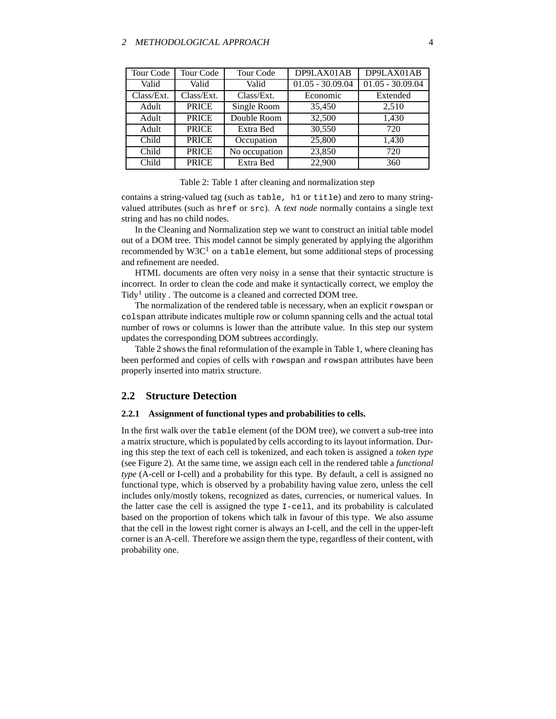| Tour Code  | Tour Code    | <b>Tour Code</b> | DP9LAX01AB         | DP9LAX01AB         |
|------------|--------------|------------------|--------------------|--------------------|
| Valid      | Valid        | Valid            | $01.05 - 30.09.04$ | $01.05 - 30.09.04$ |
| Class/Ext. | Class/Ext.   | Class/Ext.       | Economic           | Extended           |
| Adult      | <b>PRICE</b> | Single Room      | 35,450             | 2,510              |
| Adult      | <b>PRICE</b> | Double Room      | 32,500             | 1,430              |
| Adult      | <b>PRICE</b> | Extra Bed        | 30,550             | 720                |
| Child      | <b>PRICE</b> | Occupation       | 25,800             | 1,430              |
| Child      | <b>PRICE</b> | No occupation    | 23,850             | 720                |
| Child      | <b>PRICE</b> | Extra Bed        | 22,900             | 360                |

Table 2: Table 1 after cleaning and normalization step

contains a string-valued tag (such as table, h1 or title) and zero to many stringvalued attributes (such as href or src). A *text node* normally contains a single text string and has no child nodes.

In the Cleaning and Normalization step we want to construct an initial table model out of a DOM tree. This model cannot be simply generated by applying the algorithm recommended by  $W3C<sup>1</sup>$  on a table element, but some additional steps of processing and refinement are needed.

HTML documents are often very noisy in a sense that their syntactic structure is incorrect. In order to clean the code and make it syntactically correct, we employ the Tidy<sup>1</sup> utility. The outcome is a cleaned and corrected DOM tree.

The normalization of the rendered table is necessary, when an explicit rowspan or colspan attribute indicates multiple row or column spanning cells and the actual total number of rows or columns is lower than the attribute value. In this step our system updates the corresponding DOM subtrees accordingly.

Table 2 shows the final reformulation of the example in Table 1, where cleaning has been performed and copies of cells with rowspan and rowspan attributes have been properly inserted into matrix structure.

### **2.2 Structure Detection**

#### **2.2.1 Assignment of functional types and probabilities to cells.**

In the first walk over the table element (of the DOM tree), we convert a sub-tree into a matrix structure, which is populated by cells according to its layout information. During this step the text of each cell is tokenized, and each token is assigned a *token type* (see Figure 2). At the same time, we assign each cell in the rendered table a *functional type* (A-cell or I-cell) and a probability for this type. By default, a cell is assigned no functional type, which is observed by a probability having value zero, unless the cell includes only/mostly tokens, recognized as dates, currencies, or numerical values. In the latter case the cell is assigned the type I-cell, and its probability is calculated based on the proportion of tokens which talk in favour of this type. We also assume that the cell in the lowest right corner is always an I-cell, and the cell in the upper-left corner is an A-cell. Therefore we assign them the type, regardless of their content, with probability one.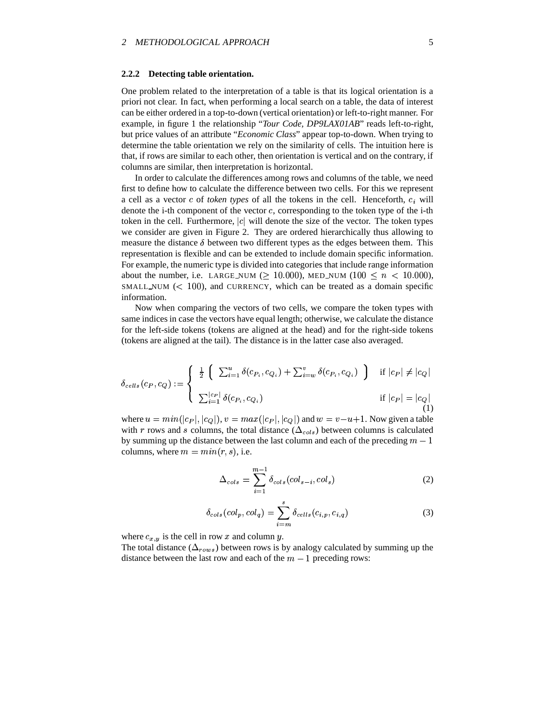#### **2.2.2 Detecting table orientation.**

One problem related to the interpretation of a table is that its logical orientation is a priori not clear. In fact, when performing a local search on a table, the data of interest can be either ordered in a top-to-down (vertical orientation) or left-to-right manner. For example, in figure 1 the relationship "*Tour Code, DP9LAX01AB*" reads left-to-right, but price values of an attribute "*Economic Class*" appear top-to-down. When trying to determine the table orientation we rely on the similarity of cells. The intuition here is that, if rows are similar to each other, then orientation is vertical and on the contrary, if columns are similar, then interpretation is horizontal.

In order to calculate the differences among rows and columns of the table, we need first to define how to calculate the difference between two cells. For this we represent a cell as a vector  $c$  of *token types* of all the tokens in the cell. Henceforth,  $c_i$  will denote the i-th component of the vector  $c$ , corresponding to the token type of the i-th token in the cell. Furthermore,  $|c|$  will denote the size of the vector. The token types we consider are given in Figure 2. They are ordered hierarchically thus allowing to measure the distance  $\delta$  between two different types as the edges between them. This representation is flexible and can be extended to include domain specific information. For example, the numeric type is divided into categories that include range information about the number, i.e. LARGE NUM ( $\geq$  10.000), MED NUM (100  $\leq n$  < 10.000),  $SMALL$  NUM (< 100), and CURRENCY, which can be treated as a domain specific information.

Now when comparing the vectors of two cells, we compare the token types with same indices in case the vectors have equal length; otherwise, we calculate the distance for the left-side tokens (tokens are aligned at the head) and for the right-side tokens (tokens are aligned at the tail). The distance is in the latter case also averaged.

$$
\delta_{cells}(c_P, c_Q) := \begin{cases}\n\frac{1}{2} \left( \sum_{i=1}^u \delta(c_{P_i}, c_{Q_i}) + \sum_{i=w}^v \delta(c_{P_i}, c_{Q_i}) \right) & \text{if } |c_P| \neq |c_Q| \\
\sum_{i=1}^{|c_P|} \delta(c_{P_i}, c_{Q_i}) & \text{if } |c_P| = |c_Q|\n\end{cases}
$$
\n(1)

where  $u = min(|c_P|, |c_Q|), v = max(|c_P|, |c_Q|)$  and  $w = v-u+1$ . Now given a table with r rows and s columns, the total distance ( $(\Delta_{\text{cols}})$ ) between columns is calculated by summing up the distance between the last column and each of the preceding  $m-1$ columns, where  $m = min(r, s)$ , i.e.

$$
\Delta_{\text{cols}} = \sum_{i=1}^{m-1} \delta_{\text{cols}}(\text{col}_{s-i}, \text{col}_s) \tag{2}
$$

$$
\delta_{cols}(col_p, col_q) = \sum_{i=m}^{s} \delta_{cells}(c_{i,p}, c_{i,q})
$$
\n
$$
row x and column y
$$
\n(3)

where  $c_{x,y}$  is the cell in row x and column y.

The total distance ( $\Delta_{rows}$ ) between rows is by analogy calculated by summing up the distance between the last row and each of the  $m-1$  preceding rows: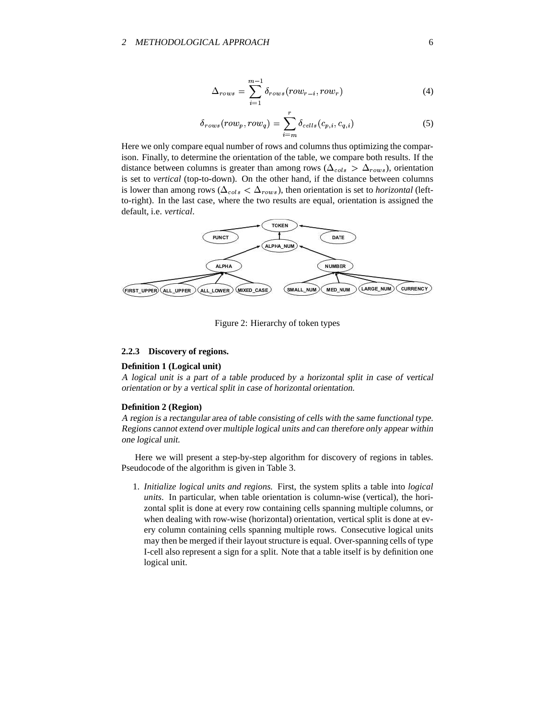$$
\Delta_{rows} = \sum_{i=1}^{m-1} \delta_{rows}(row_{r-i}, row_r) \tag{4}
$$

$$
\delta_{rows}(row_p, row_q) = \sum_{i=m}^{r} \delta_{cells}(c_{p,i}, c_{q,i})
$$
\n(5)

Here we only compare equal number of rows and columns thus optimizing the comparison. Finally, to determine the orientation of the table, we compare both results. If the distance between columns is greater than among rows ( $\Delta_{\text{cols}} > \Delta_{\text{rows}}$ ), orientation is set to *vertical* (top-to-down). On the other hand, if the distance between columns is lower than among rows ( $\Delta_{\text{cols}} < \Delta_{\text{rows}}$ ), then orientation is set to *horizontal* (leftto-right). In the last case, where the two results are equal, orientation is assigned the default, i.e. *vertical*.



Figure 2: Hierarchy of token types

### **2.2.3 Discovery of regions.**

#### **Definition 1 (Logical unit)**

A logical unit is <sup>a</sup> part of <sup>a</sup> table produced by <sup>a</sup> horizontal split in case of vertical orientation or by <sup>a</sup> vertical split in case of horizontal orientation.

#### **Definition 2 (Region)**

A region is <sup>a</sup> rectangular area of table consisting of cells with the same functional type. Regions cannot extend over multiple logical units and can therefore only appear within one logical unit.

Here we will present a step-by-step algorithm for discovery of regions in tables. Pseudocode of the algorithm is given in Table 3.

1. *Initialize logical units and regions.* First, the system splits a table into *logical units*. In particular, when table orientation is column-wise (vertical), the horizontal split is done at every row containing cells spanning multiple columns, or when dealing with row-wise (horizontal) orientation, vertical split is done at every column containing cells spanning multiple rows. Consecutive logical units may then be merged if their layout structure is equal. Over-spanning cells of type I-cell also represent a sign for a split. Note that a table itself is by definition one logical unit.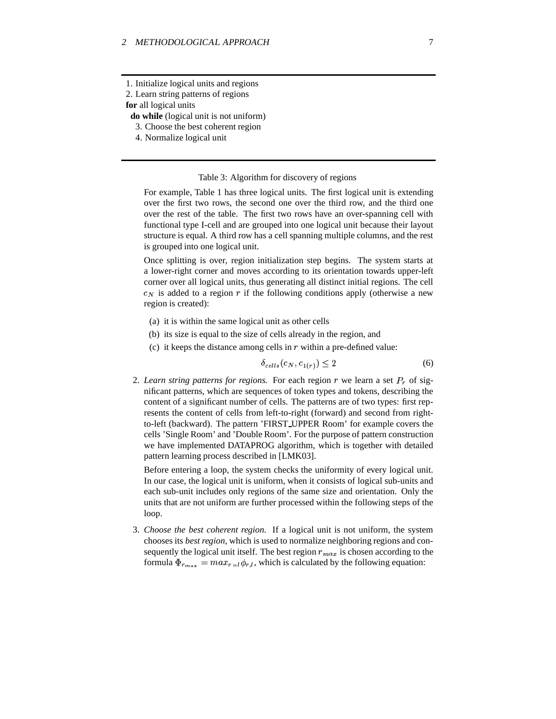- 1. Initialize logical units and regions
- 2. Learn string patterns of regions

### **for** all logical units

- **do while** (logical unit is not uniform)
- 3. Choose the best coherent region
- 4. Normalize logical unit

#### Table 3: Algorithm for discovery of regions

For example, Table 1 has three logical units. The first logical unit is extending over the first two rows, the second one over the third row, and the third one over the rest of the table. The first two rows have an over-spanning cell with functional type I-cell and are grouped into one logical unit because their layout structure is equal. A third row has a cell spanning multiple columns, and the rest is grouped into one logical unit.

Once splitting is over, region initialization step begins. The system starts at a lower-right corner and moves according to its orientation towards upper-left corner over all logical units, thus generating all distinct initial regions. The cell  $c_N$  is added to a region r if the following conditions apply (otherwise a new region is created):

- (a) it is within the same logical unit as other cells
- (b) its size is equal to the size of cells already in the region, and
- (c) it keeps the distance among cells in  $r$  within a pre-defined value:

$$
\delta_{cells}(c_N, c_{1(r)}) \le 2 \tag{6}
$$

2. Learn string patterns for regions. For each region r we learn a set  $P_r$  of significant patterns, which are sequences of token types and tokens, describing the content of a significant number of cells. The patterns are of two types: first represents the content of cells from left-to-right (forward) and second from rightto-left (backward). The pattern 'FIRST UPPER Room' for example covers the cells 'Single Room' and 'Double Room'. For the purpose of pattern construction we have implemented DATAPROG algorithm, which is together with detailed pattern learning process described in [LMK03].

Before entering a loop, the system checks the uniformity of every logical unit. In our case, the logical unit is uniform, when it consists of logical sub-units and each sub-unit includes only regions of the same size and orientation. Only the units that are not uniform are further processed within the following steps of the loop.

3. *Choose the best coherent region.* If a logical unit is not uniform, the system chooses its *best region*, which is used to normalize neighboring regions and consequently the logical unit itself. The best region  $r_{max}$  is chosen according to the formula  $\Phi_{r_{max}} = max_{r_{in}l} \phi_{r,l}$ , which is calculated by the following equation: formula  $\Phi_{r_{max}} = max_{r_{\text{in}}l} \phi_{r,l}$ , which is calculated by the following equation: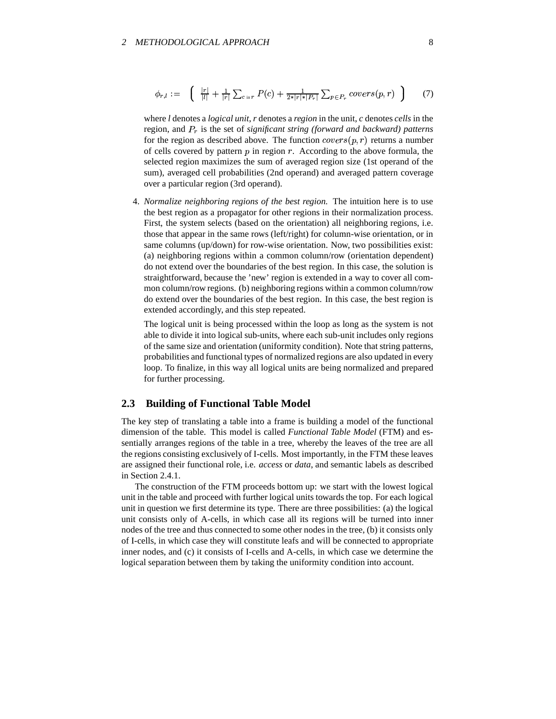$$
\phi_{r,l} := \left( \frac{|r|}{|l|} + \frac{1}{|r|} \sum_{c \text{ in } r} P(c) + \frac{1}{2 \cdot |r| \cdot |P_r|} \sum_{p \in P_r} covers(p, r) \right) \tag{7}
$$

where *l* denotes a *logical unit*, *r* denotes a *region* in the unit, *c* denotes *cells* in the region, and  $P_r$  is the set of *significant string (forward and backward)* patterns for the region as described above. The function  $\omega vers(p, r)$  returns a number of cells covered by pattern  $p$  in region  $r$ . According to the above formula, the selected region maximizes the sum of averaged region size (1st operand of the sum), averaged cell probabilities (2nd operand) and averaged pattern coverage over a particular region (3rd operand).

4. *Normalize neighboring regions of the best region.* The intuition here is to use the best region as a propagator for other regions in their normalization process. First, the system selects (based on the orientation) all neighboring regions, i.e. those that appear in the same rows (left/right) for column-wise orientation, or in same columns (up/down) for row-wise orientation. Now, two possibilities exist: (a) neighboring regions within a common column/row (orientation dependent) do not extend over the boundaries of the best region. In this case, the solution is straightforward, because the 'new' region is extended in a way to cover all common column/row regions. (b) neighboring regions within a common column/row do extend over the boundaries of the best region. In this case, the best region is extended accordingly, and this step repeated.

The logical unit is being processed within the loop as long as the system is not able to divide it into logical sub-units, where each sub-unit includes only regions of the same size and orientation (uniformity condition). Note that string patterns, probabilities and functional types of normalized regions are also updated in every loop. To finalize, in this way all logical units are being normalized and prepared for further processing.

### **2.3 Building of Functional Table Model**

The key step of translating a table into a frame is building a model of the functional dimension of the table. This model is called *Functional Table Model* (FTM) and essentially arranges regions of the table in a tree, whereby the leaves of the tree are all the regions consisting exclusively of I-cells. Most importantly, in the FTM these leaves are assigned their functional role, i.e. *access* or *data*, and semantic labels as described in Section 2.4.1.

The construction of the FTM proceeds bottom up: we start with the lowest logical unit in the table and proceed with further logical units towards the top. For each logical unit in question we first determine its type. There are three possibilities: (a) the logical unit consists only of A-cells, in which case all its regions will be turned into inner nodes of the tree and thus connected to some other nodes in the tree, (b) it consists only of I-cells, in which case they will constitute leafs and will be connected to appropriate inner nodes, and (c) it consists of I-cells and A-cells, in which case we determine the logical separation between them by taking the uniformity condition into account.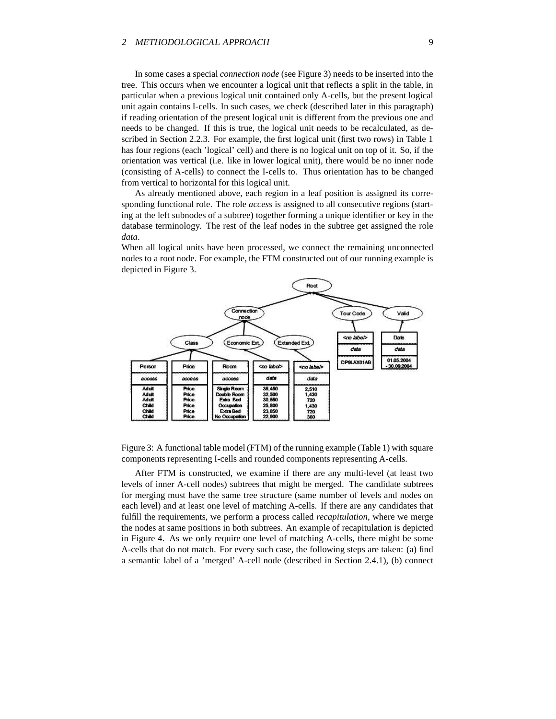### <sup>2</sup> METHODOLOGICAL APPROACH 9

In some cases a special *connection node* (see Figure 3) needs to be inserted into the tree. This occurs when we encounter a logical unit that reflects a split in the table, in particular when a previous logical unit contained only A-cells, but the present logical unit again contains I-cells. In such cases, we check (described later in this paragraph) if reading orientation of the present logical unit is different from the previous one and needs to be changed. If this is true, the logical unit needs to be recalculated, as described in Section 2.2.3. For example, the first logical unit (first two rows) in Table 1 has four regions (each 'logical' cell) and there is no logical unit on top of it. So, if the orientation was vertical (i.e. like in lower logical unit), there would be no inner node (consisting of A-cells) to connect the I-cells to. Thus orientation has to be changed from vertical to horizontal for this logical unit.

As already mentioned above, each region in a leaf position is assigned its corresponding functional role. The role *access* is assigned to all consecutive regions (starting at the left subnodes of a subtree) together forming a unique identifier or key in the database terminology. The rest of the leaf nodes in the subtree get assigned the role *data*.

When all logical units have been processed, we connect the remaining unconnected nodes to a root node. For example, the FTM constructed out of our running example is depicted in Figure 3.



Figure 3: A functional table model (FTM) of the running example (Table 1) with square components representing I-cells and rounded components representing A-cells.

After FTM is constructed, we examine if there are any multi-level (at least two levels of inner A-cell nodes) subtrees that might be merged. The candidate subtrees for merging must have the same tree structure (same number of levels and nodes on each level) and at least one level of matching A-cells. If there are any candidates that fulfill the requirements, we perform a process called *recapitulation*, where we merge the nodes at same positions in both subtrees. An example of recapitulation is depicted in Figure 4. As we only require one level of matching A-cells, there might be some A-cells that do not match. For every such case, the following steps are taken: (a) find a semantic label of a 'merged' A-cell node (described in Section 2.4.1), (b) connect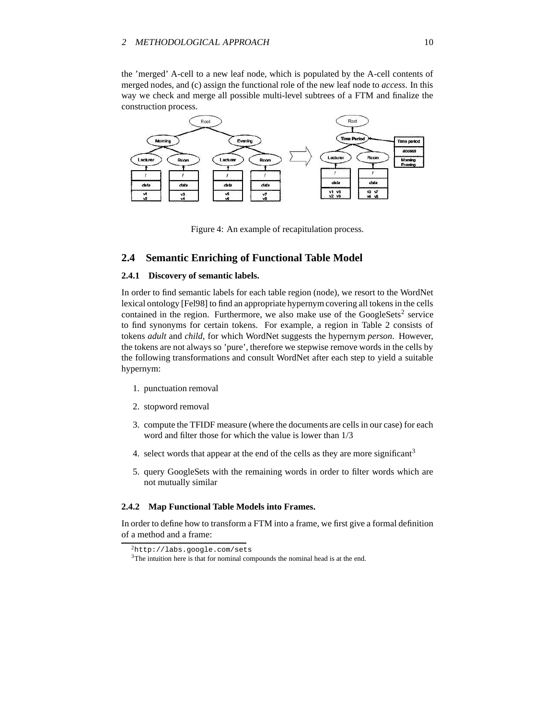#### 2 METHODOLOGICAL APPROACH 2 2 METHODOLOGICAL APPROACH

the 'merged' A-cell to a new leaf node, which is populated by the A-cell contents of merged nodes, and (c) assign the functional role of the new leaf node to *access*. In this way we check and merge all possible multi-level subtrees of a FTM and finalize the construction process.



Figure 4: An example of recapitulation process.

### **2.4 Semantic Enriching of Functional Table Model**

### **2.4.1 Discovery of semantic labels.**

In order to find semantic labels for each table region (node), we resort to the WordNet lexical ontology [Fel98] to find an appropriate hypernymcovering all tokens in the cells contained in the region. Furthermore, we also make use of the GoogleSets<sup>2</sup> service to find synonyms for certain tokens. For example, a region in Table 2 consists of tokens *adult* and *child*, for which WordNet suggests the hypernym *person*. However, the tokens are not always so 'pure', therefore we stepwise remove words in the cells by the following transformations and consult WordNet after each step to yield a suitable hypernym:

- 1. punctuation removal
- 2. stopword removal
- 3. compute the TFIDF measure (where the documents are cells in our case) for each word and filter those for which the value is lower than 1/3
- 4. select words that appear at the end of the cells as they are more significant<sup>3</sup>
- 5. query GoogleSets with the remaining words in order to filter words which are not mutually similar

### **2.4.2 Map Functional Table Models into Frames.**

In order to define how to transform a FTM into a frame, we first give a formal definition of a method and a frame:

<sup>2</sup>http://labs.google.com/sets

<sup>&</sup>lt;sup>3</sup>The intuition here is that for nominal compounds the nominal head is at the end.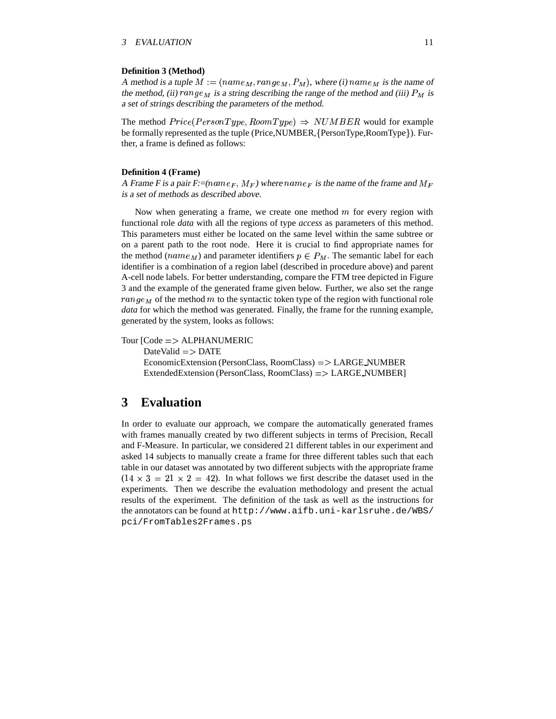#### **Definition 3 (Method)**

A method is a tuple  $M := (name_M, range_M, P_M)$ , where (i)  $name_M$  is the name of the method, (ii)  $range_M$  is a string describing the range of the method and (iii)  $P_M$  is <sup>a</sup> set of strings describing the parameters of the method.

The method  $Price(PersonType, RoomType) \Rightarrow NUMBER$  would for example be formally represented as the tuple (Price,NUMBER, {PersonType, RoomType}). Further, a frame is defined as follows:

### **Definition 4 (Frame)**

A Frame F is a pair F:=( $name_F$ ,  $M_F$ ) where  $name_F$  is the name of the frame and  $M_F$ is <sup>a</sup> set of methods as described above.

Now when generating a frame, we create one method  $m$  for every region with functional role *data* with all the regions of type *access* as parameters of this method. This parameters must either be located on the same level within the same subtree or on a parent path to the root node. Here it is crucial to find appropriate names for the method ( $name_M$ ) and parameter identifiers  $p \in P_M$ . The semantic label for each identifier is a combination of a region label (described in procedure above) and parent A-cell node labels. For better understanding, compare the FTM tree depicted in Figure 3 and the example of the generated frame given below. Further, we also set the range  $range_M$  of the method m to the syntactic token type of the region with functional role *data* for which the method was generated. Finally, the frame for the running example, generated by the system, looks as follows:

Tour [Code ALPHANUMERIC

 $DateValid = >$   $DATE$ EconomicExtension (PersonClass, RoomClass) LARGE NUMBER ExtendedExtension (PersonClass, RoomClass) LARGE NUMBER]

## **3 Evaluation**

In order to evaluate our approach, we compare the automatically generated frames with frames manually created by two different subjects in terms of Precision, Recall and F-Measure. In particular, we considered 21 different tables in our experiment and asked 14 subjects to manually create a frame for three different tables such that each table in our dataset was annotated by two different subjects with the appropriate frame  $(14 \times 3 = 21 \times 2 = 42)$ . In what follows we first describe the dataset used in the experiments. Then we describe the evaluation methodology and present the actual results of the experiment. The definition of the task as well as the instructions for the annotators can be found at http://www.aifb.uni-karlsruhe.de/WBS/ pci/FromTables2Frames.ps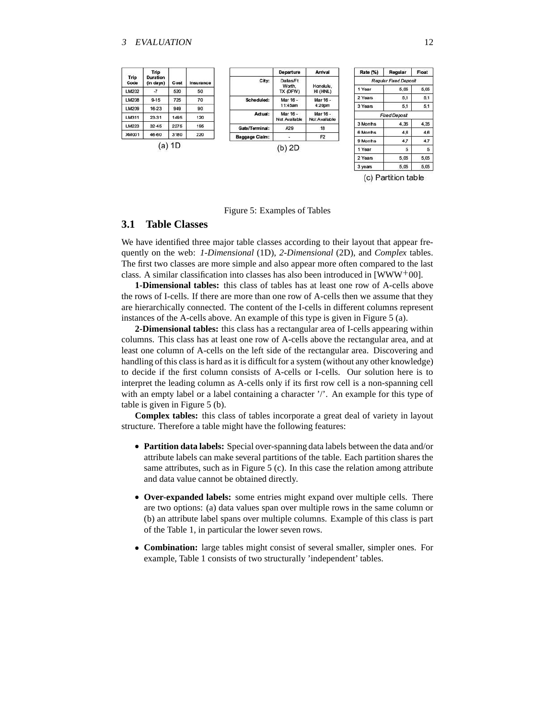| Trip<br>Code | Trip<br><b>Duration</b><br>(in days) | Cost | Insurance |  |
|--------------|--------------------------------------|------|-----------|--|
| LM202        | $-7$                                 | 520  | 50        |  |
| LM208        | $9 - 15$                             | 725  | 70        |  |
| LM209        | $16 - 23$                            | 949  | 90        |  |
| LM311        | $23 - 31$                            | 1495 | 120       |  |
| LM223        | $32 - 45$                            | 2275 | 195       |  |
| <b>XM001</b> | 46-60                                | 3180 | 220       |  |

|                       | Departure                              | Arrival                   |
|-----------------------|----------------------------------------|---------------------------|
| City:                 | <b>Dallas/Ft</b><br>Worth.<br>TX (DFW) | Honolulu.<br>HI (HNL)     |
| Scheduled:            | Mar 16 -<br>11:45am                    | Mar 16 -<br>4:20pm        |
| Actual:               | Mar 16 -<br>Not Available              | Mar 16 -<br>Not Available |
| Gate/Terminal:        | A29                                    | 18                        |
| <b>Baggage Claim:</b> |                                        | F <sub>2</sub>            |
|                       | $(b)$ 2D                               |                           |

| Rate (%) | Regular               | Float |
|----------|-----------------------|-------|
|          | Regular Fixed Deposit |       |
| 1 Year   | 5.05                  | 5.05  |
| 2 Years  | 5,1                   | 5,1   |
| 3 Years  | 5,1                   | 5.1   |
|          | <b>Fixed Deposit</b>  |       |
| 3 Months | 4,35                  | 4,35  |
| 6 Months | 4,6                   | 4,6   |
| 9 Months | 4,7                   | 4,7   |
| 1 Year   | 5                     | 5     |
| 2 Years  | 5.05                  | 5.05  |
| 3 years  | 5.05                  | 5.05  |

(c) Partition table

Figure 5: Examples of Tables

### **3.1 Table Classes**

We have identified three major table classes according to their layout that appear frequently on the web: *1-Dimensional* (1D), *2-Dimensional* (2D), and *Complex* tables. The first two classes are more simple and also appear more often compared to the last class. A similar classification into classes has also been introduced in [WWW $+00$ ].

**1-Dimensional tables:** this class of tables has at least one row of A-cells above the rows of I-cells. If there are more than one row of A-cells then we assume that they are hierarchically connected. The content of the I-cells in different columns represent instances of the A-cells above. An example of this type is given in Figure 5 (a).

**2-Dimensional tables:** this class has a rectangular area of I-cells appearing within columns. This class has at least one row of A-cells above the rectangular area, and at least one column of A-cells on the left side of the rectangular area. Discovering and handling of this class is hard as it is difficult for a system (without any other knowledge) to decide if the first column consists of A-cells or I-cells. Our solution here is to interpret the leading column as A-cells only if its first row cell is a non-spanning cell with an empty label or a label containing a character '/'. An example for this type of table is given in Figure 5 (b).

**Complex tables:** this class of tables incorporate a great deal of variety in layout structure. Therefore a table might have the following features:

- **Partition data labels:** Special over-spanning data labels between the data and/or attribute labels can make several partitions of the table. Each partition shares the same attributes, such as in Figure 5 (c). In this case the relation among attribute and data value cannot be obtained directly.
- **Over-expanded labels:** some entries might expand over multiple cells. There are two options: (a) data values span over multiple rows in the same column or (b) an attribute label spans over multiple columns. Example of this class is part of the Table 1, in particular the lower seven rows.
- **Combination:** large tables might consist of several smaller, simpler ones. For example, Table 1 consists of two structurally 'independent' tables.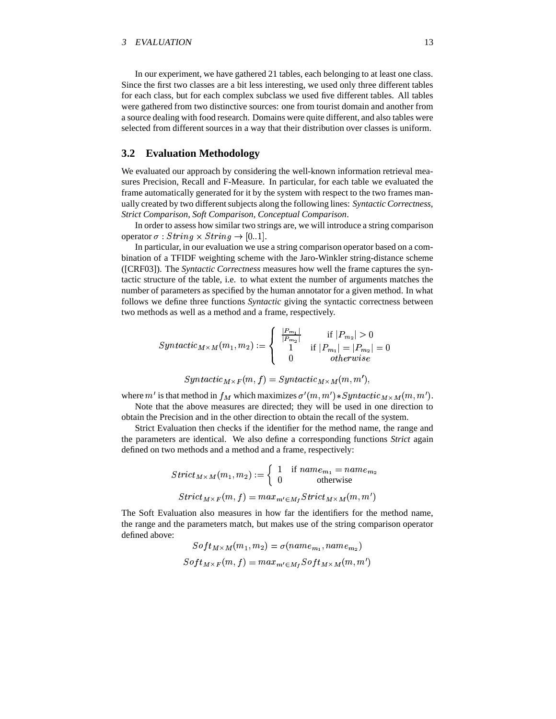In our experiment, we have gathered 21 tables, each belonging to at least one class. Since the first two classes are a bit less interesting, we used only three different tables for each class, but for each complex subclass we used five different tables. All tables were gathered from two distinctive sources: one from tourist domain and another from a source dealing with food research. Domains were quite different, and also tables were selected from different sources in a way that their distribution over classes is uniform.

### **3.2 Evaluation Methodology**

We evaluated our approach by considering the well-known information retrieval measures Precision, Recall and F-Measure. In particular, for each table we evaluated the frame automatically generated for it by the system with respect to the two frames manually created by two different subjects along the following lines: *Syntactic Correctness*, *Strict Comparison, Soft Comparison, Conceptual Comparison*.

In order to assess how similar two strings are, we will introduce a string comparison operator  $\sigma: String \times String \rightarrow [0..1].$ 

In particular, in our evaluation we use a string comparison operator based on a combination of a TFIDF weighting scheme with the Jaro-Winkler string-distance scheme ([CRF03]). The *Syntactic Correctness* measures how well the frame captures the syntactic structure of the table, i.e. to what extent the number of arguments matches the number of parameters as specified by the human annotator for a given method. In what follows we define three functions *Syntactic* giving the syntactic correctness between two methods as well as a method and a frame, respectively.

$$
Syntactic_{M\times M}(m_1,m_2):=\left\{\begin{array}{cc}\frac{|P_{m_1}|}{|P_{m_2}|}&\text{if }|P_{m_2}|>0\\1&\text{if }|P_{m_1}|=|P_{m_2}|=0\\0&\text{otherwise}\end{array}\right.
$$

$$
Syntactic_{M\times F}(m,f)=Syntactic_{M\times M}(m,m'),
$$

where m' is that method in  $f_M$  which maximizes  $\sigma'(m, m') \times Syntactic_{M \times M}(m, m')$ . Note that the above measures are directed; they will be used in one direction to

obtain the Precision and in the other direction to obtain the recall of the system.

Strict Evaluation then checks if the identifier for the method name, the range and the parameters are identical. We also define a corresponding functions *Strict* again defined on two methods and a method and a frame, respectively:

$$
Strict_{M \times M}(m_1, m_2) := \begin{cases} 1 & \text{if name}_{m_1} = name_{m_2} \\ 0 & \text{otherwise} \end{cases}
$$

$$
Strict_{M \times F}(m, f) = max_{m' \in M_f} Strict_{M \times M}(m, m')
$$

 $Strict_{M \times F}(m, f) = max_{m' \in M_f} Strict_{M \times M}(m, m')$ <br>The Soft Evaluation also measures in how far the identifiers for the method name, the range and the parameters match, but makes use of the string comparison operator defined above:

$$
Soft_{M \times M}(m_1, m_2) = \sigma(name_{m_1}, name_{m_2})
$$

$$
Soft_{M \times F}(m, f) = max_{m' \in M_f} Soft_{M \times M}(m, m')
$$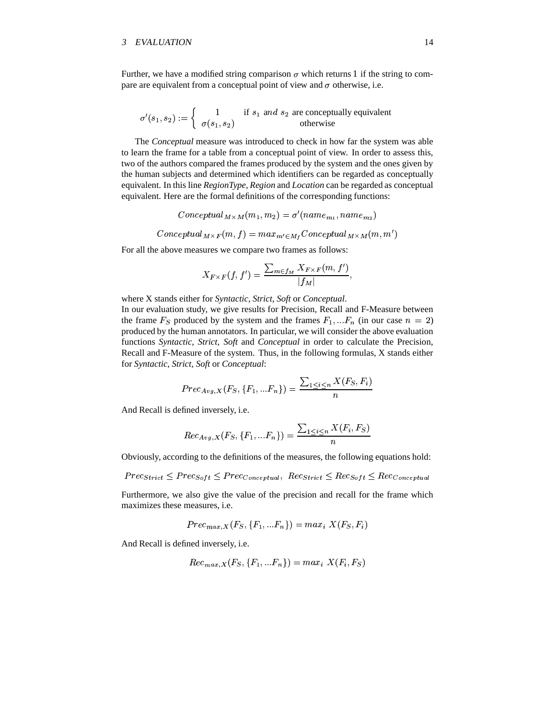Further, we have a modified string comparison  $\sigma$  which returns 1 if the string to compare are equivalent from a conceptual point of view and  $\sigma$  otherwise, i.e.

$$
\sigma'(s_1, s_2) := \begin{cases} 1 & \text{if } s_1 \text{ and } s_2 \text{ are conceptually equivalent} \\ \sigma(s_1, s_2) & \text{otherwise} \end{cases}
$$

The *Conceptual* measure was introduced to check in how far the system was able to learn the frame for a table from a conceptual point of view. In order to assess this, two of the authors compared the frames produced by the system and the ones given by the human subjects and determined which identifiers can be regarded as conceptually equivalent. In this line *RegionType*, *Region* and *Location* can be regarded as conceptual equivalent. Here are the formal definitions of the corresponding functions:

$$
Conceptual_{M\times M}(m_1,m_2)=\sigma'(name_{m_1},name_{m_2})
$$

 $\text{Conceptual}_{M \times F}(m, f) = max_{m' \in M_f} \text{Conceptual}_{M \times M}(m, m')$ 

For all the above measures we compare two frames as follows:

$$
X_{F \times F}(f, f') = \frac{\sum_{m \in f_M} X_{F \times F}(m, f')}{|f_M|},
$$

where X stands either for *Syntactic, Strict, Soft* or *Conceptual*.

In our evaluation study, we give results for Precision, Recall and F-Measure between the frame  $F<sub>S</sub>$  produced by the system and the frames  $F<sub>1</sub>, ... F<sub>n</sub>$  (in our case  $n = 2$ ) produced by the human annotators. In particular, we will consider the above evaluation functions *Syntactic, Strict, Soft* and *Conceptual* in order to calculate the Precision, Recall and F-Measure of the system. Thus, in the following formulas, X stands either for *Syntactic, Strict, Soft* or *Conceptual*:

$$
Prec_{Avg,X}(F_S,\{F_1,...F_n\}) = \frac{\sum_{1 \leq i \leq n} X(F_S,F_i)}{n}
$$

And Recall is defined inversely, i.e.

$$
Rec_{Avg,X}(F_S,\{F_1,...F_n\}) = \frac{\sum_{1 \leq i \leq n} X(F_i,F_S)}{n}
$$

Obviously, according to the definitions of the measures, the following equations hold:

 $Prec_{Strict} < Prec_{Soft} < Prec_{Concentration}$ ,  $Rec_{Strict} < Rec_{Soft} < Rec_{Concentration}$ 

Furthermore, we also give the value of the precision and recall for the frame which maximizes these measures, i.e.

$$
Prec_{max,X}(F_S, \{F_1, \ldots F_n\}) = max_i X(F_S, F_i)
$$

And Recall is defined inversely, i.e.

$$
Rec_{max,X}(F_S, \{F_1, ... F_n\}) = max_i X(F_i, F_S)
$$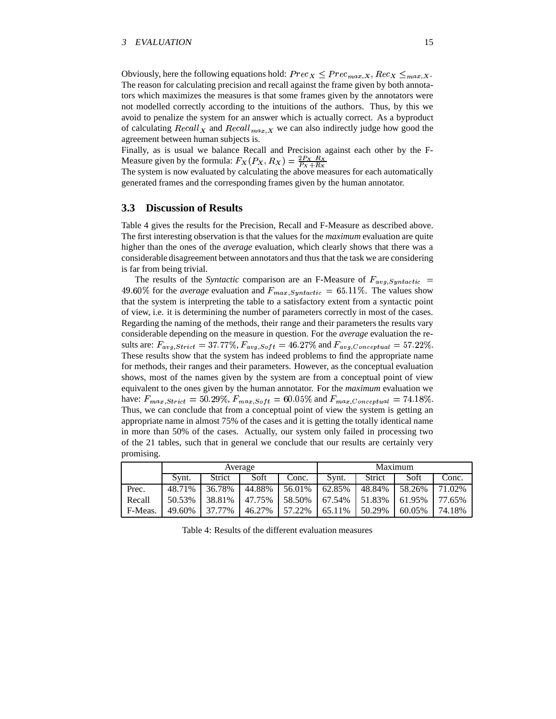Obviously, here the following equations hold:  $Prec_X \leq prec_{max,X}$ ,  $Rec_X \leq_{max,X}$ .<br>The reason for calculating precision and recall against the frame given by both annota- $_{ax,X}, Rec_X \leq_{max,X}.$ tors which maximizes the measures is that some frames given by the annotators were not modelled correctly according to the intuitions of the authors. Thus, by this we avoid to penalize the system for an answer which is actually correct. As a byproduct of calculating  $Recall_X$  and  $Recall_{max,X}$  we can also indirectly judge how good the  $z_1$  are  $z_2$  and  $z_3$  and  $z_4$  and  $z_5$  are  $z_6$  and  $z_7$  are  $z_8$  are  $z_9$  are  $z_9$  are  $z_9$  are  $z_9$  are  $z_9$  are  $z_9$  are  $z_9$  are  $z_9$  are  $z_9$  are  $z_9$  are  $z_9$  are  $z_9$  are  $z_9$  are  $z_9$  are

Finally, as is usual we balance Recall and Precision against each other by the F-Measure given by the formula:  $F_X(P_X, R_X) = \frac{2P_X - R_X}{P_X + R_X}$ 

The system is now evaluated by calculating the above measures for each automatically generated frames and the corresponding frames given by the human annotator.

### **3.3 Discussion of Results**

Table 4 gives the results for the Precision, Recall and F-Measure as described above. The first interesting observation is that the values for the *maximum* evaluation are quite higher than the ones of the *average* evaluation, which clearly shows that there was a considerable disagreement between annotators and thus that the task we are considering is far from being trivial.

The results of the *Syntactic* comparison are an F-Measure of  $F_{avg, Syntactic}$  = 49.60% for the *average* evaluation and  $F_{max,Syntactic} = 65.11\%$ . The values show that the system is interpreting the table to a satisfactory extent from a syntactic point of view, i.e. it is determining the number of parameters correctly in most of the cases. Regarding the naming of the methods, their range and their parameters the results vary considerable depending on the measure in question. For the *average* evaluation the results are:  $F_{avg, Strict} = 37.77\%, F_{avg,Soft} = 46.27\%$  and  $F_{avg,Conceptual} = 57.22\%.$ These results show that the system has indeed problems to find the appropriate name for methods, their ranges and their parameters. However, as the conceptual evaluation shows, most of the names given by the system are from a conceptual point of view equivalent to the ones given by the human annotator. For the *maximum* evaluation we have:  $F_{max,Strict} = 50.29\%, F_{max,Soft} = 60.05\%$  and  $F_{max,Conceptual} = 74.18\%$ . Thus, we can conclude that from a conceptual point of view the system is getting an appropriate name in almost 75% of the cases and it is getting the totally identical name in more than 50% of the cases. Actually, our system only failed in processing two of the 21 tables, such that in general we conclude that our results are certainly very promising.

|         | Average |               |        | Maximum |        |        |        |        |
|---------|---------|---------------|--------|---------|--------|--------|--------|--------|
|         | Synt.   | <b>Strict</b> | Soft   | Conc.   | Synt.  | Strict | Soft   | Conc.  |
| Prec.   | 48.71%  | 36.78%        | 44.88% | 56.01%  | 62.85% | 48.84% | 58.26% | 71.02% |
| Recall  | 50.53%  | 38.81%        | 47.75% | 58.50%  | 67.54% | 51.83% | 61.95% | 77.65% |
| F-Meas. | 49.60%  | 37.77%        | 46.27% | 57.22%  | 65.11% | 50.29% | 60.05% | 74.18% |

Table 4: Results of the different evaluation measures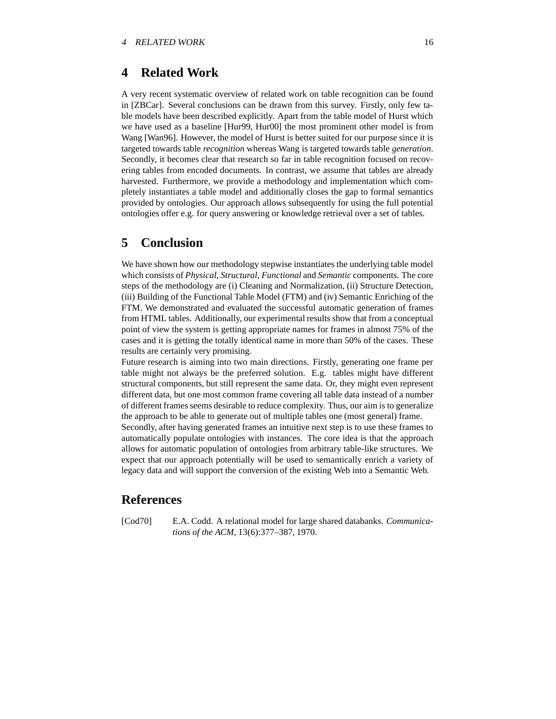## **4 Related Work**

A very recent systematic overview of related work on table recognition can be found in [ZBCar]. Several conclusions can be drawn from this survey. Firstly, only few table models have been described explicitly. Apart from the table model of Hurst which we have used as a baseline [Hur99, Hur00] the most prominent other model is from Wang [Wan96]. However, the model of Hurst is better suited for our purpose since it is targeted towards table *recognition* whereas Wang is targeted towards table *generation*. Secondly, it becomes clear that research so far in table recognition focused on recovering tables from encoded documents. In contrast, we assume that tables are already harvested. Furthermore, we provide a methodology and implementation which completely instantiates a table model and additionally closes the gap to formal semantics provided by ontologies. Our approach allows subsequently for using the full potential ontologies offer e.g. for query answering or knowledge retrieval over a set of tables.

## **5 Conclusion**

We have shown how our methodology stepwise instantiates the underlying table model which consists of *Physical*, *Structural*, *Functional* and *Semantic* components. The core steps of the methodology are (i) Cleaning and Normalization, (ii) Structure Detection, (iii) Building of the Functional Table Model (FTM) and (iv) Semantic Enriching of the FTM. We demonstrated and evaluated the successful automatic generation of frames from HTML tables. Additionally, our experimental results show that from a conceptual point of view the system is getting appropriate names for frames in almost 75% of the cases and it is getting the totally identical name in more than 50% of the cases. These results are certainly very promising.

Future research is aiming into two main directions. Firstly, generating one frame per table might not always be the preferred solution. E.g. tables might have different structural components, but still represent the same data. Or, they might even represent different data, but one most common frame covering all table data instead of a number of different frames seems desirable to reduce complexity. Thus, our aim is to generalize the approach to be able to generate out of multiple tables one (most general) frame.

Secondly, after having generated frames an intuitive next step is to use these frames to automatically populate ontologies with instances. The core idea is that the approach allows for automatic population of ontologies from arbitrary table-like structures. We expect that our approach potentially will be used to semantically enrich a variety of legacy data and will support the conversion of the existing Web into a Semantic Web.

## **References**

[Cod70] E.A. Codd. A relational model for large shared databanks. *Communications of the ACM*, 13(6):377–387, 1970.